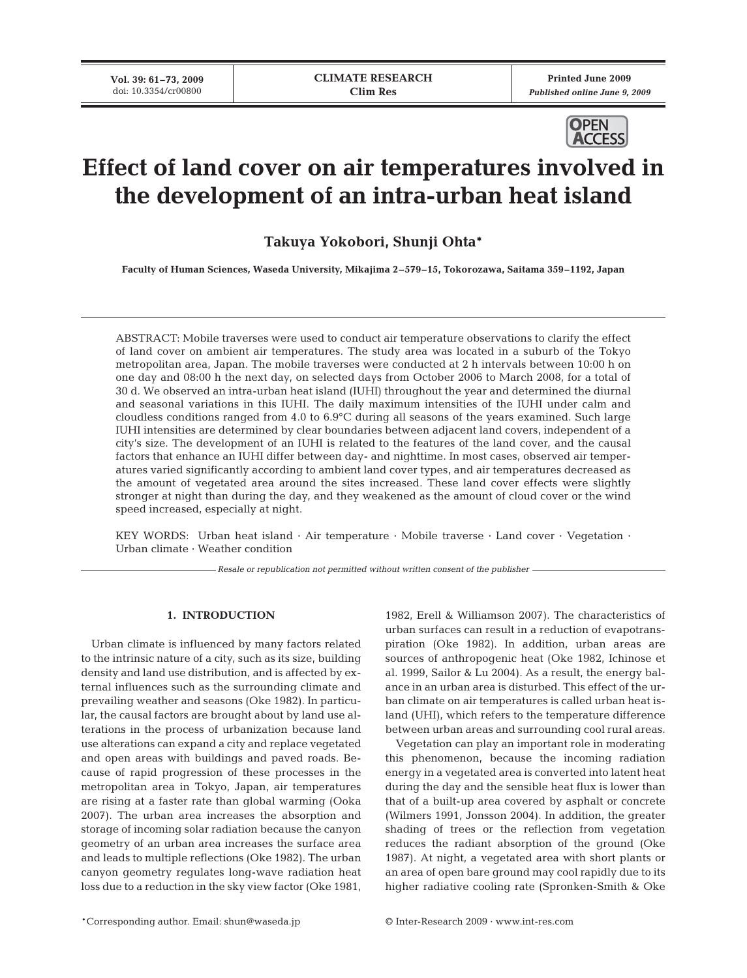**Printed June 2009** *Published online June 9, 2009*



# **Effect of land cover on air temperatures involved in the development of an intra-urban heat island**

**Takuya Yokobori, Shunji Ohta\***

**Faculty of Human Sciences, Waseda University, Mikajima 2–579–15, Tokorozawa, Saitama 359–1192, Japan**

ABSTRACT: Mobile traverses were used to conduct air temperature observations to clarify the effect of land cover on ambient air temperatures. The study area was located in a suburb of the Tokyo metropolitan area, Japan. The mobile traverses were conducted at 2 h intervals between 10:00 h on one day and 08:00 h the next day, on selected days from October 2006 to March 2008, for a total of 30 d. We observed an intra-urban heat island (IUHI) throughout the year and determined the diurnal and seasonal variations in this IUHI. The daily maximum intensities of the IUHI under calm and cloudless conditions ranged from 4.0 to 6.9°C during all seasons of the years examined. Such large IUHI intensities are determined by clear boundaries between adjacent land covers, independent of a city's size. The development of an IUHI is related to the features of the land cover, and the causal factors that enhance an IUHI differ between day- and nighttime. In most cases, observed air temperatures varied significantly according to ambient land cover types, and air temperatures decreased as the amount of vegetated area around the sites increased. These land cover effects were slightly stronger at night than during the day, and they weakened as the amount of cloud cover or the wind speed increased, especially at night.

KEY WORDS: Urban heat island · Air temperature · Mobile traverse · Land cover · Vegetation · Urban climate · Weather condition

*Resale or republication not permitted without written consent of the publisher*

# **1. INTRODUCTION**

Urban climate is influenced by many factors related to the intrinsic nature of a city, such as its size, building density and land use distribution, and is affected by external influences such as the surrounding climate and prevailing weather and seasons (Oke 1982). In particular, the causal factors are brought about by land use alterations in the process of urbanization because land use alterations can expand a city and replace vegetated and open areas with buildings and paved roads. Because of rapid progression of these processes in the metropolitan area in Tokyo, Japan, air temperatures are rising at a faster rate than global warming (Ooka 2007). The urban area increases the absorption and storage of incoming solar radiation because the canyon geometry of an urban area increases the surface area and leads to multiple reflections (Oke 1982). The urban canyon geometry regulates long-wave radiation heat loss due to a reduction in the sky view factor (Oke 1981, 1982, Erell & Williamson 2007). The characteristics of urban surfaces can result in a reduction of evapotranspiration (Oke 1982). In addition, urban areas are sources of anthropogenic heat (Oke 1982, Ichinose et al. 1999, Sailor & Lu 2004). As a result, the energy balance in an urban area is disturbed. This effect of the urban climate on air temperatures is called urban heat island (UHI), which refers to the temperature difference between urban areas and surrounding cool rural areas.

Vegetation can play an important role in moderating this phenomenon, because the incoming radiation energy in a vegetated area is converted into latent heat during the day and the sensible heat flux is lower than that of a built-up area covered by asphalt or concrete (Wilmers 1991, Jonsson 2004). In addition, the greater shading of trees or the reflection from vegetation reduces the radiant absorption of the ground (Oke 1987). At night, a vegetated area with short plants or an area of open bare ground may cool rapidly due to its higher radiative cooling rate (Spronken-Smith & Oke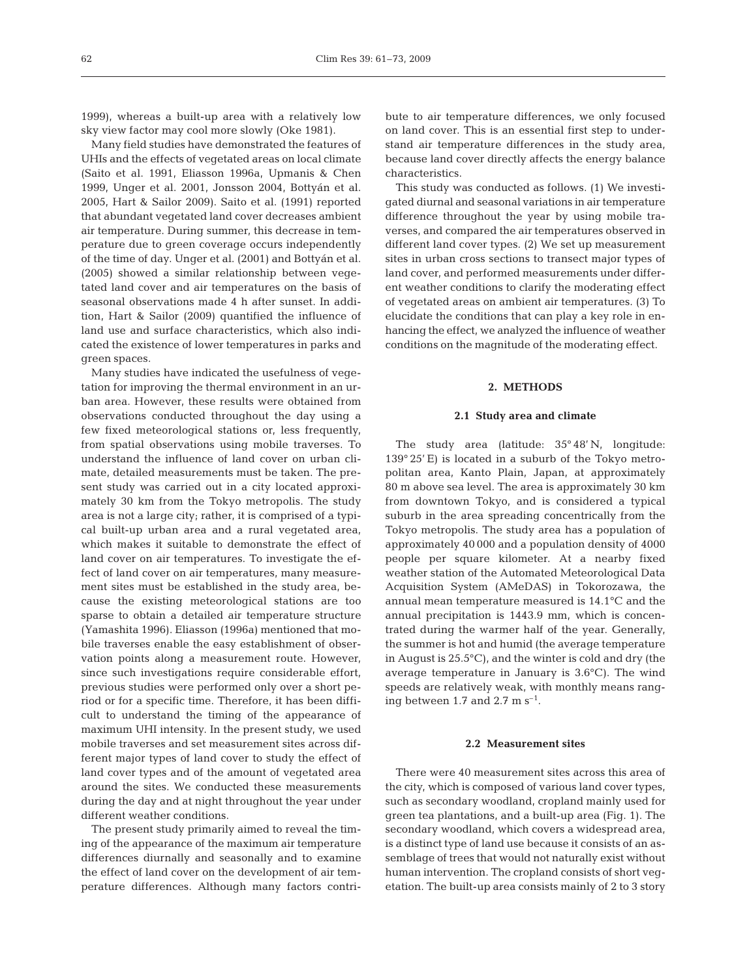1999), whereas a built-up area with a relatively low sky view factor may cool more slowly (Oke 1981).

Many field studies have demonstrated the features of UHIs and the effects of vegetated areas on local climate (Saito et al. 1991, Eliasson 1996a, Upmanis & Chen 1999, Unger et al. 2001, Jonsson 2004, Bottyán et al. 2005, Hart & Sailor 2009). Saito et al. (1991) reported that abundant vegetated land cover decreases ambient air temperature. During summer, this decrease in temperature due to green coverage occurs independently of the time of day. Unger et al. (2001) and Bottyán et al. (2005) showed a similar relationship between vegetated land cover and air temperatures on the basis of seasonal observations made 4 h after sunset. In addition, Hart & Sailor (2009) quantified the influence of land use and surface characteristics, which also indicated the existence of lower temperatures in parks and green spaces.

Many studies have indicated the usefulness of vegetation for improving the thermal environment in an urban area. However, these results were obtained from observations conducted throughout the day using a few fixed meteorological stations or, less frequently, from spatial observations using mobile traverses. To understand the influence of land cover on urban climate, detailed measurements must be taken. The present study was carried out in a city located approximately 30 km from the Tokyo metropolis. The study area is not a large city; rather, it is comprised of a typical built-up urban area and a rural vegetated area, which makes it suitable to demonstrate the effect of land cover on air temperatures. To investigate the effect of land cover on air temperatures, many measurement sites must be established in the study area, because the existing meteorological stations are too sparse to obtain a detailed air temperature structure (Yamashita 1996). Eliasson (1996a) mentioned that mobile traverses enable the easy establishment of observation points along a measurement route. However, since such investigations require considerable effort, previous studies were performed only over a short period or for a specific time. Therefore, it has been difficult to understand the timing of the appearance of maximum UHI intensity. In the present study, we used mobile traverses and set measurement sites across different major types of land cover to study the effect of land cover types and of the amount of vegetated area around the sites. We conducted these measurements during the day and at night throughout the year under different weather conditions.

The present study primarily aimed to reveal the timing of the appearance of the maximum air temperature differences diurnally and seasonally and to examine the effect of land cover on the development of air temperature differences. Although many factors contribute to air temperature differences, we only focused on land cover. This is an essential first step to understand air temperature differences in the study area, because land cover directly affects the energy balance characteristics.

This study was conducted as follows. (1) We investigated diurnal and seasonal variations in air temperature difference throughout the year by using mobile traverses, and compared the air temperatures observed in different land cover types. (2) We set up measurement sites in urban cross sections to transect major types of land cover, and performed measurements under different weather conditions to clarify the moderating effect of vegetated areas on ambient air temperatures. (3) To elucidate the conditions that can play a key role in enhancing the effect, we analyzed the influence of weather conditions on the magnitude of the moderating effect.

## **2. METHODS**

## **2.1 Study area and climate**

The study area (latitude: 35° 48' N, longitude: 139° 25' E) is located in a suburb of the Tokyo metropolitan area, Kanto Plain, Japan, at approximately 80 m above sea level. The area is approximately 30 km from downtown Tokyo, and is considered a typical suburb in the area spreading concentrically from the Tokyo metropolis. The study area has a population of approximately 40 000 and a population density of 4000 people per square kilometer. At a nearby fixed weather station of the Automated Meteorological Data Acquisition System (AMeDAS) in Tokorozawa, the annual mean temperature measured is 14.1°C and the annual precipitation is 1443.9 mm, which is concentrated during the warmer half of the year. Generally, the summer is hot and humid (the average temperature in August is 25.5°C), and the winter is cold and dry (the average temperature in January is 3.6°C). The wind speeds are relatively weak, with monthly means ranging between 1.7 and 2.7 m  $s^{-1}$ .

## **2.2 Measurement sites**

There were 40 measurement sites across this area of the city, which is composed of various land cover types, such as secondary woodland, cropland mainly used for green tea plantations, and a built-up area (Fig. 1). The secondary woodland, which covers a widespread area, is a distinct type of land use because it consists of an assemblage of trees that would not naturally exist without human intervention. The cropland consists of short vegetation. The built-up area consists mainly of 2 to 3 story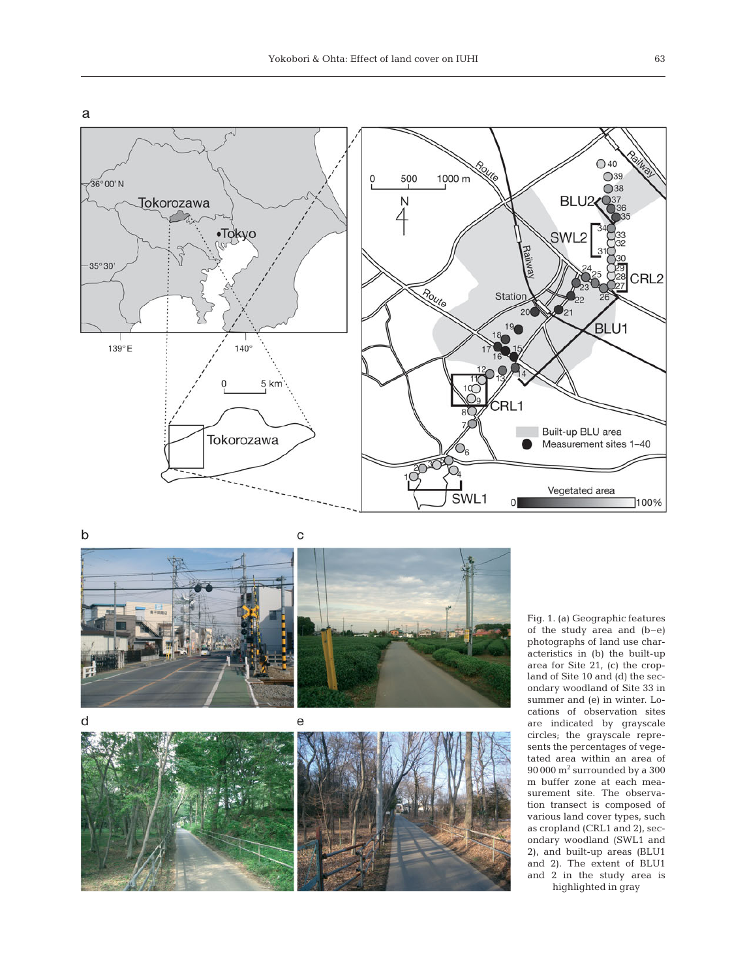

 $\mathsf b$ 



Fig. 1. (a) Geographic features of the study area and (b–e) photographs of land use characteristics in (b) the built-up area for Site 21, (c) the cropland of Site 10 and (d) the secondary woodland of Site 33 in summer and (e) in winter. Locations of observation sites are indicated by grayscale circles; the grayscale represents the percentages of vegetated area within an area of 90 000 m2 surrounded by a 300 m buffer zone at each measurement site. The observation transect is composed of various land cover types, such as cropland (CRL1 and 2), secondary woodland (SWL1 and 2), and built-up areas (BLU1 and 2). The extent of BLU1 and 2 in the study area is highlighted in gray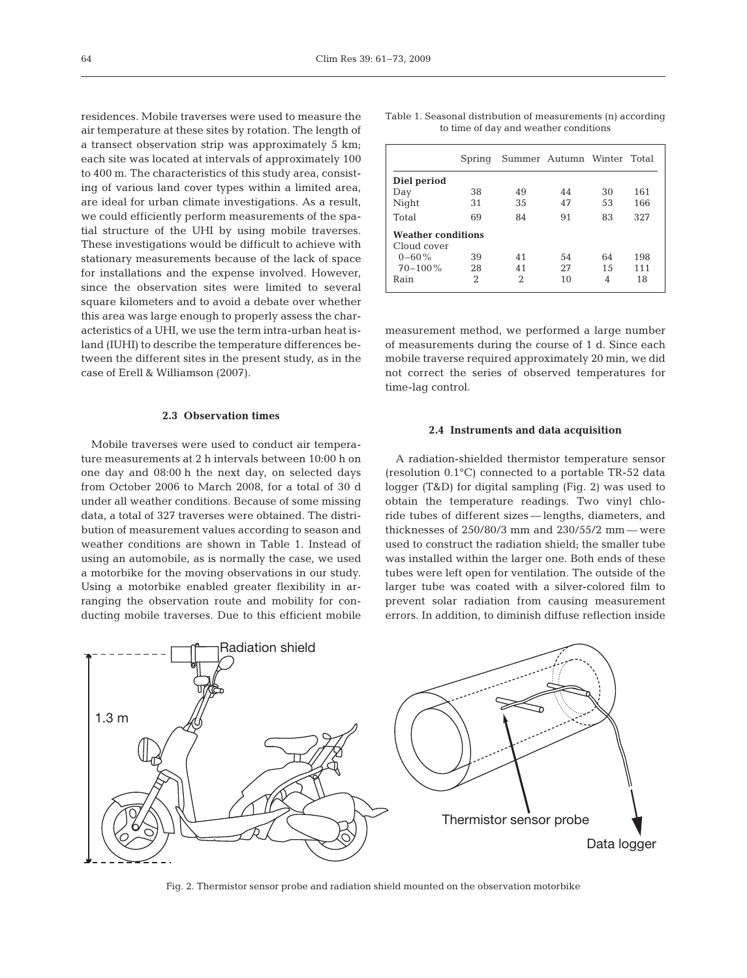residences. Mobile traverses were used to measure the air temperature at these sites by rotation. The length of a transect observation strip was approximately 5 km; each site was located at intervals of approximately 100 to 400 m. The characteristics of this study area, consisting of various land cover types within a limited area, are ideal for urban climate investigations. As a result, we could efficiently perform measurements of the spatial structure of the UHI by using mobile traverses. These investigations would be difficult to achieve with stationary measurements because of the lack of space for installations and the expense involved. However, since the observation sites were limited to several square kilometers and to avoid a debate over whether this area was large enough to properly assess the characteristics of a UHI, we use the term intra-urban heat island (IUHI) to describe the temperature differences between the different sites in the present study, as in the case of Erell & Williamson (2007).

## **2.3 Observation times**

Mobile traverses were used to conduct air temperature measurements at 2 h intervals between 10:00 h on one day and 08:00 h the next day, on selected days from October 2006 to March 2008, for a total of 30 d under all weather conditions. Because of some missing data, a total of 327 traverses were obtained. The distribution of measurement values according to season and weather conditions are shown in Table 1. Instead of using an automobile, as is normally the case, we used a motorbike for the moving observations in our study. Using a motorbike enabled greater flexibility in arranging the observation route and mobility for conducting mobile traverses. Due to this efficient mobile

|  | Table 1. Seasonal distribution of measurements (n) according |  |  |
|--|--------------------------------------------------------------|--|--|
|  | to time of day and weather conditions                        |  |  |

|                           | Spring |    | Summer Autumn Winter Total |    |     |  |
|---------------------------|--------|----|----------------------------|----|-----|--|
| Diel period               |        |    |                            |    |     |  |
| Day                       | 38     | 49 | 44                         | 30 | 161 |  |
| Night                     | 31     | 35 | 47                         | 53 | 166 |  |
| Total                     | 69     | 84 | 91                         | 83 | 327 |  |
| <b>Weather conditions</b> |        |    |                            |    |     |  |
| Cloud cover               |        |    |                            |    |     |  |
| $0 - 60\%$                | 39     | 41 | 54                         | 64 | 198 |  |
| $70 - 100\%$              | 28     | 41 | 27                         | 15 | 111 |  |
| Rain                      | 2      | 2  | 10                         | 4  | 18  |  |

measurement method, we performed a large number of measurements during the course of 1 d. Since each mobile traverse required approximately 20 min, we did not correct the series of observed temperatures for time-lag control.

#### **2.4 Instruments and data acquisition**

A radiation-shielded thermistor temperature sensor (resolution 0.1°C) connected to a portable TR-52 data logger (T&D) for digital sampling (Fig. 2) was used to obtain the temperature readings. Two vinyl chloride tubes of different sizes — lengths, diameters, and thicknesses of 250/80/3 mm and 230/55/2 mm — were used to construct the radiation shield; the smaller tube was installed within the larger one. Both ends of these tubes were left open for ventilation. The outside of the larger tube was coated with a silver-colored film to prevent solar radiation from causing measurement errors. In addition, to diminish diffuse reflection inside



Fig. 2. Thermistor sensor probe and radiation shield mounted on the observation motorbike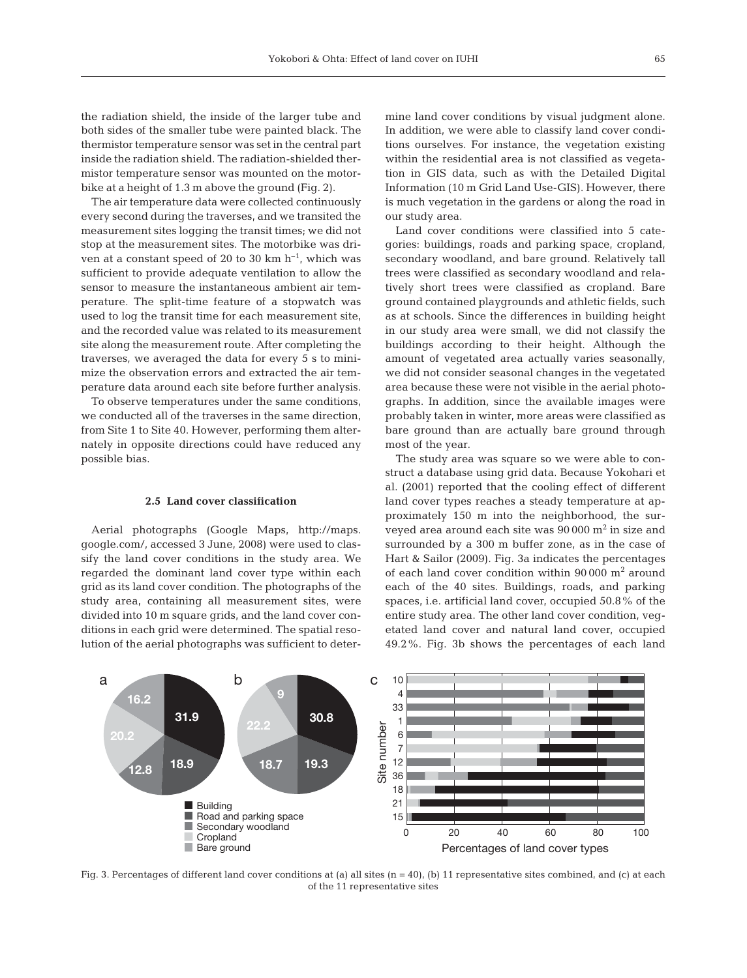the radiation shield, the inside of the larger tube and both sides of the smaller tube were painted black. The thermistor temperature sensor was set in the central part inside the radiation shield. The radiation-shielded thermistor temperature sensor was mounted on the motorbike at a height of 1.3 m above the ground (Fig. 2).

The air temperature data were collected continuously every second during the traverses, and we transited the measurement sites logging the transit times; we did not stop at the measurement sites. The motorbike was driven at a constant speed of 20 to 30 km  $h^{-1}$ , which was sufficient to provide adequate ventilation to allow the sensor to measure the instantaneous ambient air temperature. The split-time feature of a stopwatch was used to log the transit time for each measurement site, and the recorded value was related to its measurement site along the measurement route. After completing the traverses, we averaged the data for every 5 s to minimize the observation errors and extracted the air temperature data around each site before further analysis.

To observe temperatures under the same conditions, we conducted all of the traverses in the same direction, from Site 1 to Site 40. However, performing them alternately in opposite directions could have reduced any possible bias.

#### **2.5 Land cover classification**

Aerial photographs (Google Maps, http://maps. google.com/, accessed 3 June, 2008) were used to classify the land cover conditions in the study area. We regarded the dominant land cover type within each grid as its land cover condition. The photographs of the study area, containing all measurement sites, were divided into 10 m square grids, and the land cover conditions in each grid were determined. The spatial resolution of the aerial photographs was sufficient to determine land cover conditions by visual judgment alone. In addition, we were able to classify land cover conditions ourselves. For instance, the vegetation existing within the residential area is not classified as vegetation in GIS data, such as with the Detailed Digital Information (10 m Grid Land Use-GIS). However, there is much vegetation in the gardens or along the road in our study area.

Land cover conditions were classified into 5 categories: buildings, roads and parking space, cropland, secondary woodland, and bare ground. Relatively tall trees were classified as secondary woodland and relatively short trees were classified as cropland. Bare ground contained playgrounds and athletic fields, such as at schools. Since the differences in building height in our study area were small, we did not classify the buildings according to their height. Although the amount of vegetated area actually varies seasonally, we did not consider seasonal changes in the vegetated area because these were not visible in the aerial photographs. In addition, since the available images were probably taken in winter, more areas were classified as bare ground than are actually bare ground through most of the year.

The study area was square so we were able to construct a database using grid data. Because Yokohari et al. (2001) reported that the cooling effect of different land cover types reaches a steady temperature at approximately 150 m into the neighborhood, the surveyed area around each site was  $90\,000$  m<sup>2</sup> in size and surrounded by a 300 m buffer zone, as in the case of Hart & Sailor (2009). Fig. 3a indicates the percentages of each land cover condition within 90 000 m2 around each of the 40 sites. Buildings, roads, and parking spaces, i.e. artificial land cover, occupied 50.8% of the entire study area. The other land cover condition, vegetated land cover and natural land cover, occupied 49.2%. Fig. 3b shows the percentages of each land



Fig. 3. Percentages of different land cover conditions at (a) all sites  $(n = 40)$ , (b) 11 representative sites combined, and (c) at each of the 11 representative sites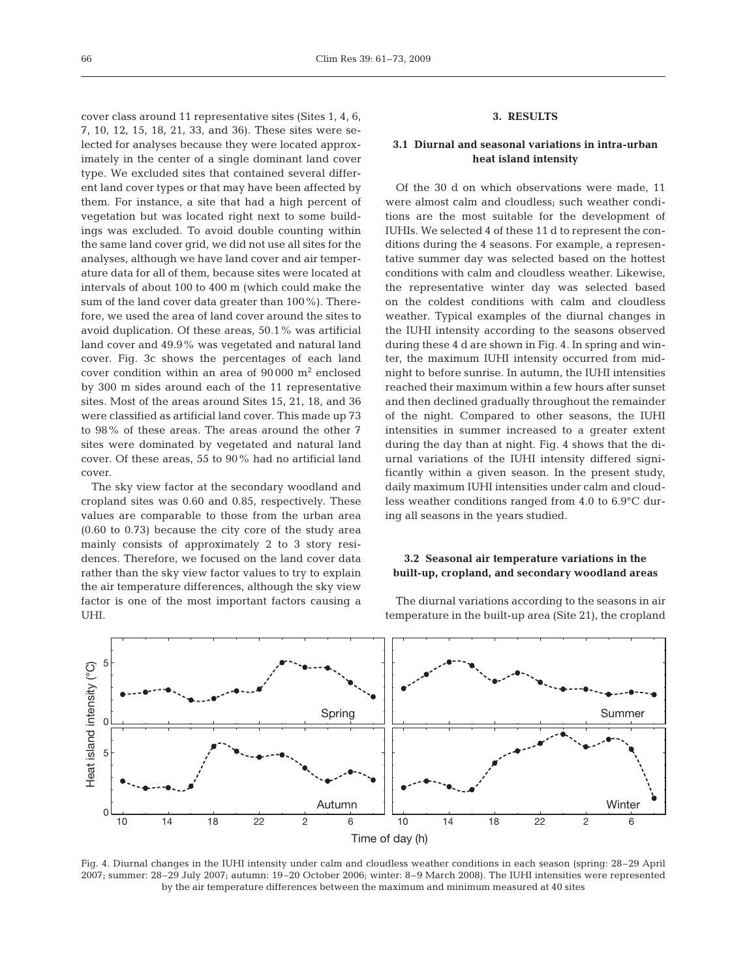cover class around 11 representative sites (Sites 1, 4, 6, 7, 10, 12, 15, 18, 21, 33, and 36). These sites were selected for analyses because they were located approximately in the center of a single dominant land cover type. We excluded sites that contained several different land cover types or that may have been affected by them. For instance, a site that had a high percent of vegetation but was located right next to some buildings was excluded. To avoid double counting within the same land cover grid, we did not use all sites for the analyses, although we have land cover and air temperature data for all of them, because sites were located at intervals of about 100 to 400 m (which could make the sum of the land cover data greater than 100%). Therefore, we used the area of land cover around the sites to avoid duplication. Of these areas, 50.1% was artificial land cover and 49.9% was vegetated and natural land cover. Fig. 3c shows the percentages of each land cover condition within an area of  $90\,000$  m<sup>2</sup> enclosed by 300 m sides around each of the 11 representative sites. Most of the areas around Sites 15, 21, 18, and 36 were classified as artificial land cover. This made up 73 to 98% of these areas. The areas around the other 7 sites were dominated by vegetated and natural land cover. Of these areas, 55 to 90% had no artificial land cover.

The sky view factor at the secondary woodland and cropland sites was 0.60 and 0.85, respectively. These values are comparable to those from the urban area (0.60 to 0.73) because the city core of the study area mainly consists of approximately 2 to 3 story residences. Therefore, we focused on the land cover data rather than the sky view factor values to try to explain the air temperature differences, although the sky view factor is one of the most important factors causing a UHI.

# **3. RESULTS**

# **3.1 Diurnal and seasonal variations in intra-urban heat island intensity**

Of the 30 d on which observations were made, 11 were almost calm and cloudless; such weather conditions are the most suitable for the development of IUHIs. We selected 4 of these 11 d to represent the conditions during the 4 seasons. For example, a representative summer day was selected based on the hottest conditions with calm and cloudless weather. Likewise, the representative winter day was selected based on the coldest conditions with calm and cloudless weather. Typical examples of the diurnal changes in the IUHI intensity according to the seasons observed during these 4 d are shown in Fig. 4. In spring and winter, the maximum IUHI intensity occurred from midnight to before sunrise. In autumn, the IUHI intensities reached their maximum within a few hours after sunset and then declined gradually throughout the remainder of the night. Compared to other seasons, the IUHI intensities in summer increased to a greater extent during the day than at night. Fig. 4 shows that the diurnal variations of the IUHI intensity differed significantly within a given season. In the present study, daily maximum IUHI intensities under calm and cloudless weather conditions ranged from 4.0 to 6.9°C during all seasons in the years studied.

## **3.2 Seasonal air temperature variations in the built-up, cropland, and secondary woodland areas**

The diurnal variations according to the seasons in air temperature in the built-up area (Site 21), the cropland



Fig. 4. Diurnal changes in the IUHI intensity under calm and cloudless weather conditions in each season (spring: 28–29 April 2007; summer: 28–29 July 2007; autumn: 19–20 October 2006; winter: 8–9 March 2008). The IUHI intensities were represented by the air temperature differences between the maximum and minimum measured at 40 sites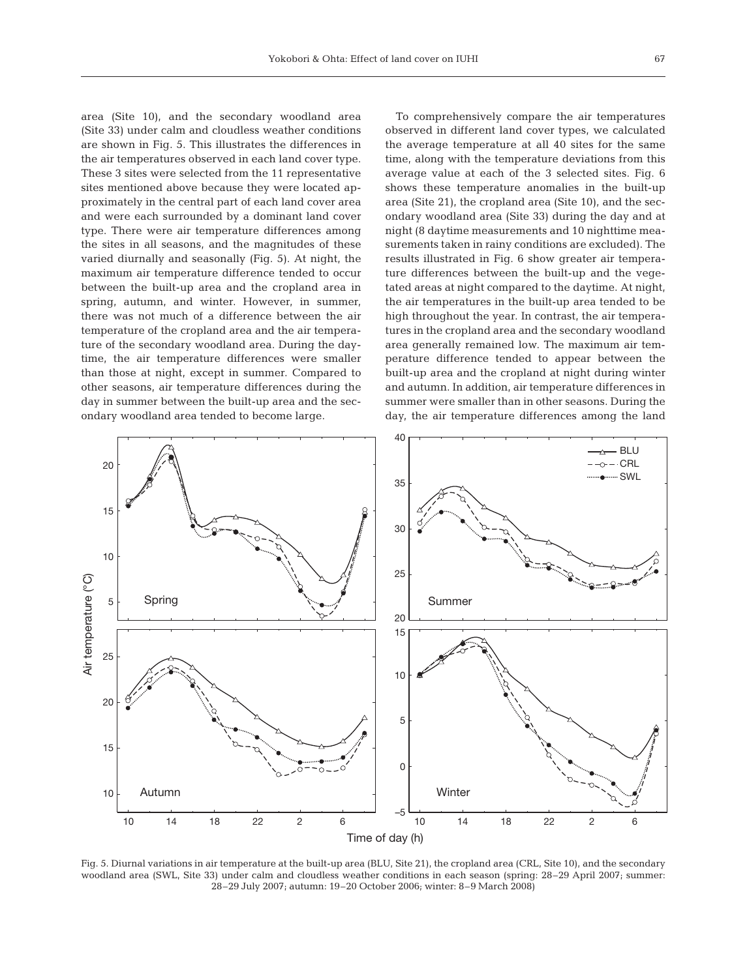area (Site 10), and the secondary woodland area (Site 33) under calm and cloudless weather conditions are shown in Fig. 5. This illustrates the differences in the air temperatures observed in each land cover type. These 3 sites were selected from the 11 representative sites mentioned above because they were located approximately in the central part of each land cover area and were each surrounded by a dominant land cover type. There were air temperature differences among the sites in all seasons, and the magnitudes of these varied diurnally and seasonally (Fig. 5). At night, the maximum air temperature difference tended to occur between the built-up area and the cropland area in spring, autumn, and winter. However, in summer, there was not much of a difference between the air temperature of the cropland area and the air temperature of the secondary woodland area. During the daytime, the air temperature differences were smaller than those at night, except in summer. Compared to other seasons, air temperature differences during the day in summer between the built-up area and the secondary woodland area tended to become large.

To comprehensively compare the air temperatures observed in different land cover types, we calculated the average temperature at all 40 sites for the same time, along with the temperature deviations from this average value at each of the 3 selected sites. Fig. 6 shows these temperature anomalies in the built-up area (Site 21), the cropland area (Site 10), and the secondary woodland area (Site 33) during the day and at night (8 daytime measurements and 10 nighttime measurements taken in rainy conditions are excluded). The results illustrated in Fig. 6 show greater air temperature differences between the built-up and the vegetated areas at night compared to the daytime. At night, the air temperatures in the built-up area tended to be high throughout the year. In contrast, the air temperatures in the cropland area and the secondary woodland area generally remained low. The maximum air temperature difference tended to appear between the built-up area and the cropland at night during winter and autumn. In addition, air temperature differences in summer were smaller than in other seasons. During the day, the air temperature differences among the land



Fig. 5. Diurnal variations in air temperature at the built-up area (BLU, Site 21), the cropland area (CRL, Site 10), and the secondary woodland area (SWL, Site 33) under calm and cloudless weather conditions in each season (spring: 28–29 April 2007; summer: 28–29 July 2007; autumn: 19–20 October 2006; winter: 8–9 March 2008)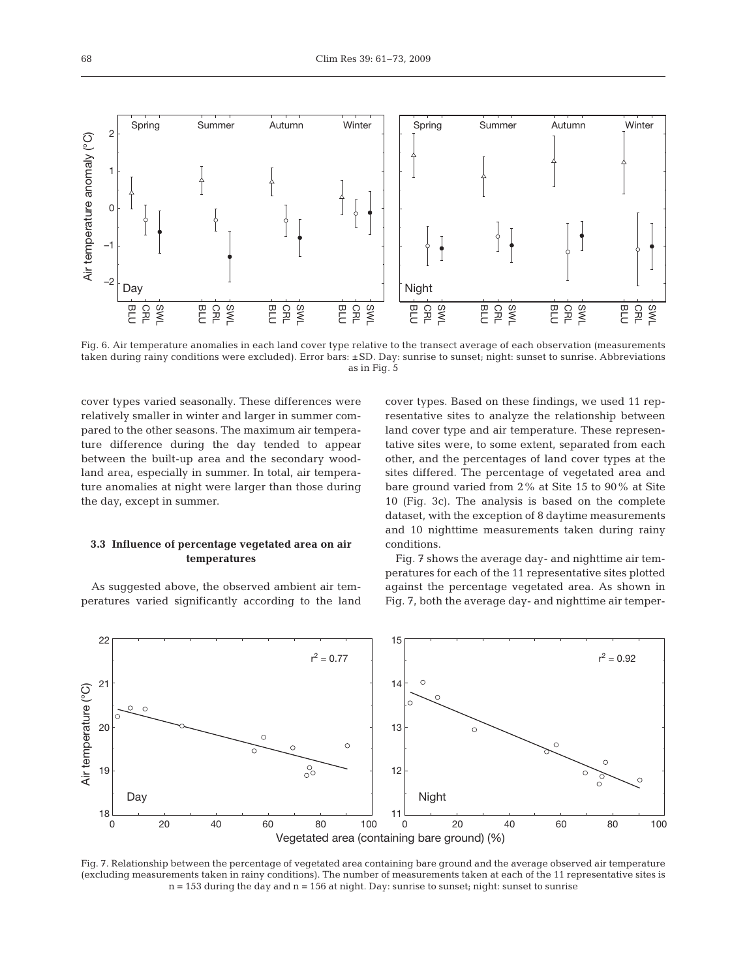

Fig. 6. Air temperature anomalies in each land cover type relative to the transect average of each observation (measurements taken during rainy conditions were excluded). Error bars: ±SD. Day: sunrise to sunset; night: sunset to sunrise. Abbreviations as in Fig. 5

cover types varied seasonally. These differences were relatively smaller in winter and larger in summer compared to the other seasons. The maximum air temperature difference during the day tended to appear between the built-up area and the secondary woodland area, especially in summer. In total, air temperature anomalies at night were larger than those during the day, except in summer.

# **3.3 Influence of percentage vegetated area on air temperatures**

As suggested above, the observed ambient air temperatures varied significantly according to the land

cover types. Based on these findings, we used 11 representative sites to analyze the relationship between land cover type and air temperature. These representative sites were, to some extent, separated from each other, and the percentages of land cover types at the sites differed. The percentage of vegetated area and bare ground varied from 2% at Site 15 to 90% at Site 10 (Fig. 3c). The analysis is based on the complete dataset, with the exception of 8 daytime measurements and 10 nighttime measurements taken during rainy conditions.

Fig. 7 shows the average day- and nighttime air temperatures for each of the 11 representative sites plotted against the percentage vegetated area. As shown in Fig. 7, both the average day- and nighttime air temper-



Fig. 7. Relationship between the percentage of vegetated area containing bare ground and the average observed air temperature (excluding measurements taken in rainy conditions). The number of measurements taken at each of the 11 representative sites is  $n = 153$  during the day and  $n = 156$  at night. Day: sunrise to sunset; night: sunset to sunrise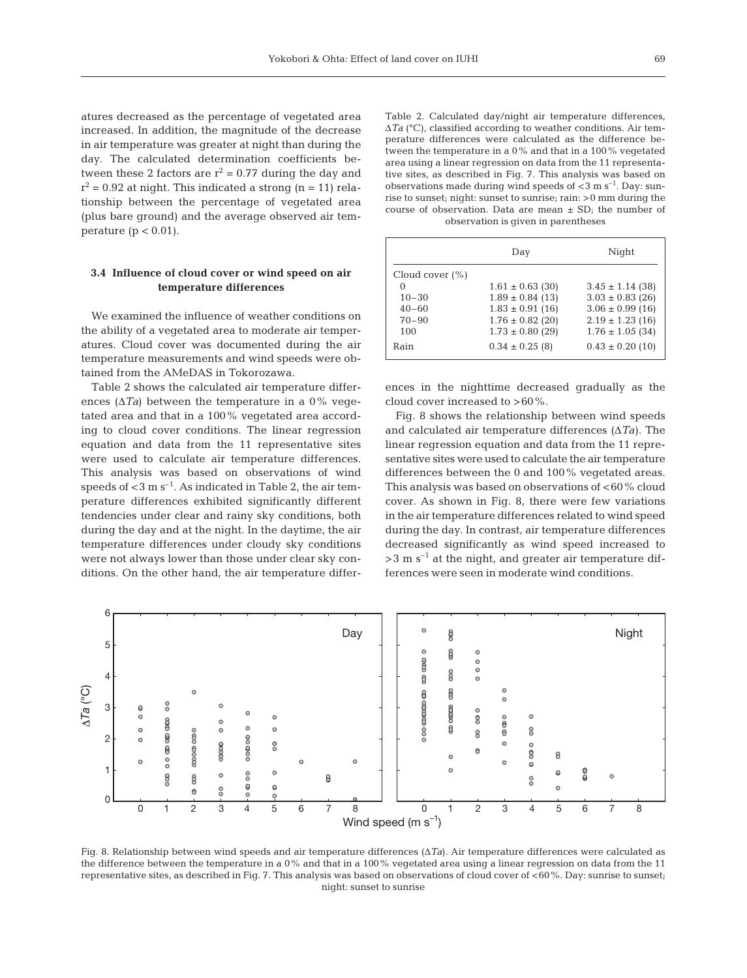atures decreased as the percentage of vegetated area increased. In addition, the magnitude of the decrease in air temperature was greater at night than during the day. The calculated determination coefficients between these 2 factors are  $r^2 = 0.77$  during the day and  $r^2$  = 0.92 at night. This indicated a strong (n = 11) relationship between the percentage of vegetated area (plus bare ground) and the average observed air temperature ( $p < 0.01$ ).

## **3.4 Influence of cloud cover or wind speed on air temperature differences**

We examined the influence of weather conditions on the ability of a vegetated area to moderate air temperatures. Cloud cover was documented during the air temperature measurements and wind speeds were obtained from the AMeDAS in Tokorozawa.

Table 2 shows the calculated air temperature differences ( $\Delta T_a$ ) between the temperature in a 0% vegetated area and that in a 100% vegetated area according to cloud cover conditions. The linear regression equation and data from the 11 representative sites were used to calculate air temperature differences. This analysis was based on observations of wind speeds of  $<$ 3 m s<sup>-1</sup>. As indicated in Table 2, the air temperature differences exhibited significantly different tendencies under clear and rainy sky conditions, both during the day and at the night. In the daytime, the air temperature differences under cloudy sky conditions were not always lower than those under clear sky conditions. On the other hand, the air temperature differTable 2. Calculated day/night air temperature differences, Δ*Ta* (°C), classified according to weather conditions. Air temperature differences were calculated as the difference between the temperature in a 0% and that in a 100% vegetated area using a linear regression on data from the 11 representative sites, as described in Fig. 7. This analysis was based on observations made during wind speeds of  $<$ 3 m s<sup>-1</sup>. Day: sunrise to sunset; night: sunset to sunrise; rain: >0 mm during the course of observation. Data are mean  $\pm$  SD; the number of observation is given in parentheses

|                     | Day                  | Night                |
|---------------------|----------------------|----------------------|
| Cloud cover $(\% )$ |                      |                      |
| $\mathbf{0}$        | $1.61 \pm 0.63$ (30) | $3.45 \pm 1.14$ (38) |
| $10 - 30$           | $1.89 \pm 0.84$ (13) | $3.03 \pm 0.83$ (26) |
| $40 - 60$           | $1.83 \pm 0.91$ (16) | $3.06 \pm 0.99$ (16) |
| $70 - 90$           | $1.76 \pm 0.82$ (20) | $2.19 \pm 1.23$ (16) |
| 100                 | $1.73 \pm 0.80$ (29) | $1.76 \pm 1.05$ (34) |
| Rain                | $0.34 \pm 0.25$ (8)  | $0.43 \pm 0.20$ (10) |

ences in the nighttime decreased gradually as the cloud cover increased to >60%.

Fig. 8 shows the relationship between wind speeds and calculated air temperature differences (Δ*Ta)*. The linear regression equation and data from the 11 representative sites were used to calculate the air temperature differences between the 0 and 100% vegetated areas. This analysis was based on observations of  $<$  60% cloud cover. As shown in Fig. 8, there were few variations in the air temperature differences related to wind speed during the day. In contrast, air temperature differences decreased significantly as wind speed increased to  $>3$  m s<sup>-1</sup> at the night, and greater air temperature differences were seen in moderate wind conditions.



Fig. 8. Relationship between wind speeds and air temperature differences (Δ*Ta*). Air temperature differences were calculated as the difference between the temperature in a 0% and that in a 100% vegetated area using a linear regression on data from the 11 representative sites, as described in Fig. 7. This analysis was based on observations of cloud cover of <60%. Day: sunrise to sunset; night: sunset to sunrise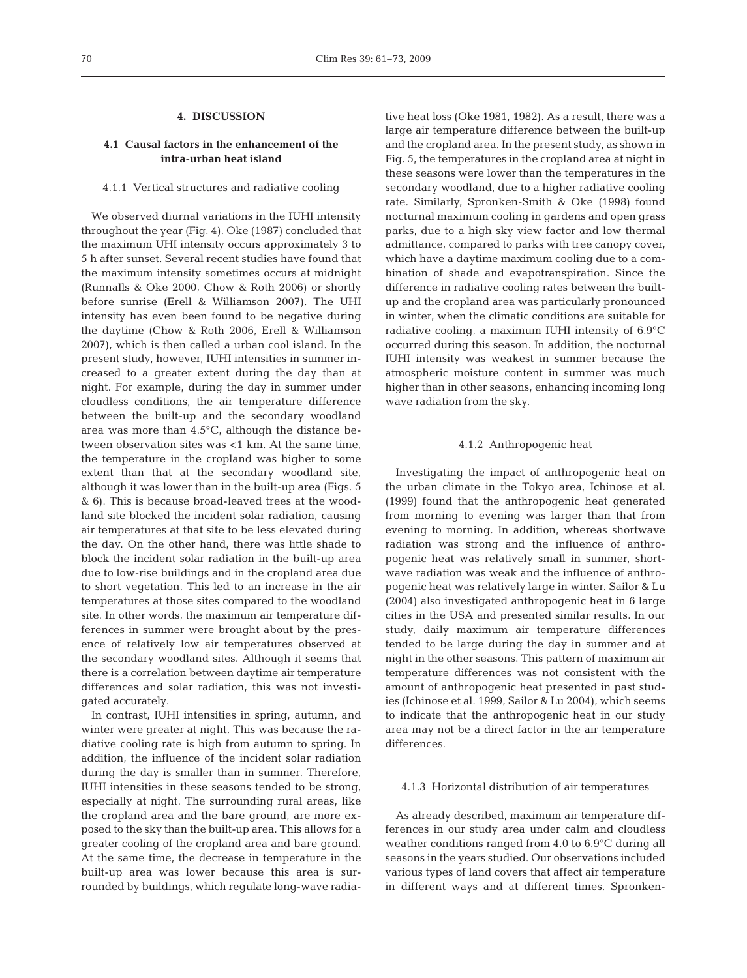# **4. DISCUSSION**

# **4.1 Causal factors in the enhancement of the intra-urban heat island**

#### 4.1.1 Vertical structures and radiative cooling

We observed diurnal variations in the IUHI intensity throughout the year (Fig. 4). Oke (1987) concluded that the maximum UHI intensity occurs approximately 3 to 5 h after sunset. Several recent studies have found that the maximum intensity sometimes occurs at midnight (Runnalls & Oke 2000, Chow & Roth 2006) or shortly before sunrise (Erell & Williamson 2007). The UHI intensity has even been found to be negative during the daytime (Chow & Roth 2006, Erell & Williamson 2007), which is then called a urban cool island. In the present study, however, IUHI intensities in summer increased to a greater extent during the day than at night. For example, during the day in summer under cloudless conditions, the air temperature difference between the built-up and the secondary woodland area was more than 4.5°C, although the distance between observation sites was <1 km. At the same time, the temperature in the cropland was higher to some extent than that at the secondary woodland site, although it was lower than in the built-up area (Figs. 5 & 6). This is because broad-leaved trees at the woodland site blocked the incident solar radiation, causing air temperatures at that site to be less elevated during the day. On the other hand, there was little shade to block the incident solar radiation in the built-up area due to low-rise buildings and in the cropland area due to short vegetation. This led to an increase in the air temperatures at those sites compared to the woodland site. In other words, the maximum air temperature differences in summer were brought about by the presence of relatively low air temperatures observed at the secondary woodland sites. Although it seems that there is a correlation between daytime air temperature differences and solar radiation, this was not investigated accurately.

In contrast, IUHI intensities in spring, autumn, and winter were greater at night. This was because the radiative cooling rate is high from autumn to spring. In addition, the influence of the incident solar radiation during the day is smaller than in summer. Therefore, IUHI intensities in these seasons tended to be strong, especially at night. The surrounding rural areas, like the cropland area and the bare ground, are more exposed to the sky than the built-up area. This allows for a greater cooling of the cropland area and bare ground. At the same time, the decrease in temperature in the built-up area was lower because this area is surrounded by buildings, which regulate long-wave radiative heat loss (Oke 1981, 1982). As a result, there was a large air temperature difference between the built-up and the cropland area. In the present study, as shown in Fig. 5, the temperatures in the cropland area at night in these seasons were lower than the temperatures in the secondary woodland, due to a higher radiative cooling rate. Similarly, Spronken-Smith & Oke (1998) found nocturnal maximum cooling in gardens and open grass parks, due to a high sky view factor and low thermal admittance, compared to parks with tree canopy cover, which have a daytime maximum cooling due to a combination of shade and evapotranspiration. Since the difference in radiative cooling rates between the builtup and the cropland area was particularly pronounced in winter, when the climatic conditions are suitable for radiative cooling, a maximum IUHI intensity of 6.9°C occurred during this season. In addition, the nocturnal IUHI intensity was weakest in summer because the atmospheric moisture content in summer was much higher than in other seasons, enhancing incoming long wave radiation from the sky.

### 4.1.2 Anthropogenic heat

Investigating the impact of anthropogenic heat on the urban climate in the Tokyo area, Ichinose et al. (1999) found that the anthropogenic heat generated from morning to evening was larger than that from evening to morning. In addition, whereas shortwave radiation was strong and the influence of anthropogenic heat was relatively small in summer, shortwave radiation was weak and the influence of anthropogenic heat was relatively large in winter. Sailor & Lu (2004) also investigated anthropogenic heat in 6 large cities in the USA and presented similar results. In our study, daily maximum air temperature differences tended to be large during the day in summer and at night in the other seasons. This pattern of maximum air temperature differences was not consistent with the amount of anthropogenic heat presented in past studies (Ichinose et al. 1999, Sailor & Lu 2004), which seems to indicate that the anthropogenic heat in our study area may not be a direct factor in the air temperature differences.

## 4.1.3 Horizontal distribution of air temperatures

As already described, maximum air temperature differences in our study area under calm and cloudless weather conditions ranged from 4.0 to 6.9°C during all seasons in the years studied. Our observations included various types of land covers that affect air temperature in different ways and at different times. Spronken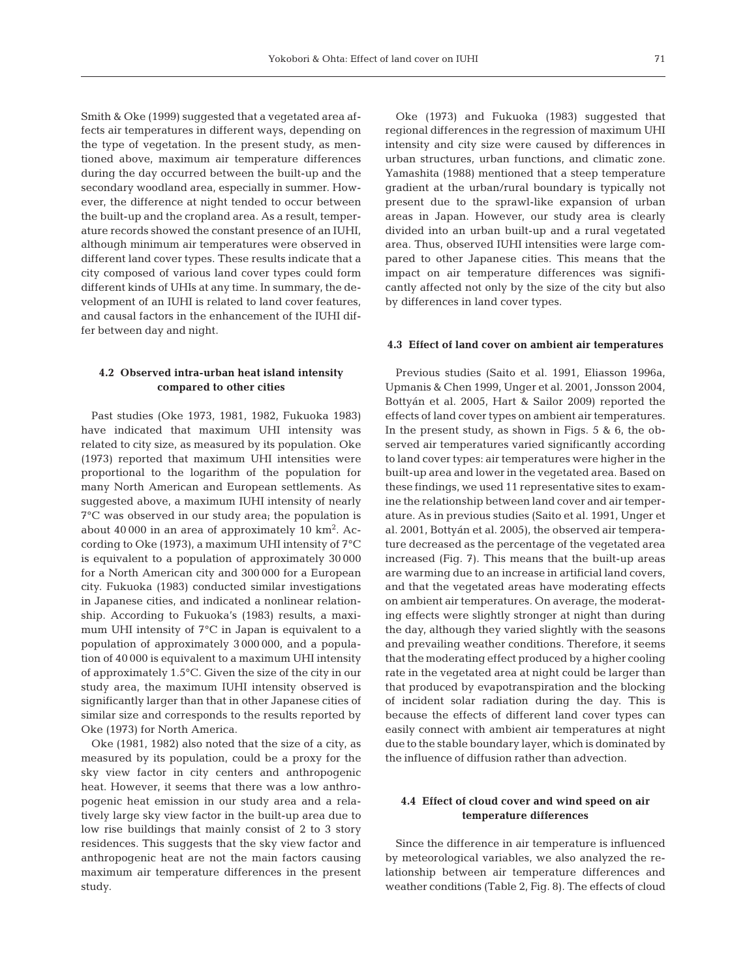Smith & Oke (1999) suggested that a vegetated area affects air temperatures in different ways, depending on the type of vegetation. In the present study, as mentioned above, maximum air temperature differences during the day occurred between the built-up and the secondary woodland area, especially in summer. However, the difference at night tended to occur between the built-up and the cropland area. As a result, temperature records showed the constant presence of an IUHI, although minimum air temperatures were observed in different land cover types. These results indicate that a city composed of various land cover types could form different kinds of UHIs at any time. In summary, the development of an IUHI is related to land cover features, and causal factors in the enhancement of the IUHI differ between day and night.

## **4.2 Observed intra-urban heat island intensity compared to other cities**

Past studies (Oke 1973, 1981, 1982, Fukuoka 1983) have indicated that maximum UHI intensity was related to city size, as measured by its population. Oke (1973) reported that maximum UHI intensities were proportional to the logarithm of the population for many North American and European settlements. As suggested above, a maximum IUHI intensity of nearly 7°C was observed in our study area; the population is about  $40\,000$  in an area of approximately  $10\ \mathrm{km^2}$ . According to Oke (1973), a maximum UHI intensity of 7°C is equivalent to a population of approximately 30 000 for a North American city and 300 000 for a European city. Fukuoka (1983) conducted similar investigations in Japanese cities, and indicated a nonlinear relationship. According to Fukuoka's (1983) results, a maximum UHI intensity of 7°C in Japan is equivalent to a population of approximately 3 000 000, and a population of 40 000 is equivalent to a maximum UHI intensity of approximately 1.5°C. Given the size of the city in our study area, the maximum IUHI intensity observed is significantly larger than that in other Japanese cities of similar size and corresponds to the results reported by Oke (1973) for North America.

Oke (1981, 1982) also noted that the size of a city, as measured by its population, could be a proxy for the sky view factor in city centers and anthropogenic heat. However, it seems that there was a low anthropogenic heat emission in our study area and a relatively large sky view factor in the built-up area due to low rise buildings that mainly consist of 2 to 3 story residences. This suggests that the sky view factor and anthropogenic heat are not the main factors causing maximum air temperature differences in the present study.

Oke (1973) and Fukuoka (1983) suggested that regional differences in the regression of maximum UHI intensity and city size were caused by differences in urban structures, urban functions, and climatic zone. Yamashita (1988) mentioned that a steep temperature gradient at the urban/rural boundary is typically not present due to the sprawl-like expansion of urban areas in Japan. However, our study area is clearly divided into an urban built-up and a rural vegetated area. Thus, observed IUHI intensities were large compared to other Japanese cities. This means that the impact on air temperature differences was significantly affected not only by the size of the city but also by differences in land cover types.

# **4.3 Effect of land cover on ambient air temperatures**

Previous studies (Saito et al. 1991, Eliasson 1996a, Upmanis & Chen 1999, Unger et al. 2001, Jonsson 2004, Bottyán et al. 2005, Hart & Sailor 2009) reported the effects of land cover types on ambient air temperatures. In the present study, as shown in Figs. 5 & 6, the observed air temperatures varied significantly according to land cover types: air temperatures were higher in the built-up area and lower in the vegetated area. Based on these findings, we used 11 representative sites to examine the relationship between land cover and air temperature. As in previous studies (Saito et al. 1991, Unger et al. 2001, Bottyán et al. 2005), the observed air temperature decreased as the percentage of the vegetated area increased (Fig. 7). This means that the built-up areas are warming due to an increase in artificial land covers, and that the vegetated areas have moderating effects on ambient air temperatures. On average, the moderating effects were slightly stronger at night than during the day, although they varied slightly with the seasons and prevailing weather conditions. Therefore, it seems that the moderating effect produced by a higher cooling rate in the vegetated area at night could be larger than that produced by evapotranspiration and the blocking of incident solar radiation during the day. This is because the effects of different land cover types can easily connect with ambient air temperatures at night due to the stable boundary layer, which is dominated by the influence of diffusion rather than advection.

# **4.4 Effect of cloud cover and wind speed on air temperature differences**

Since the difference in air temperature is influenced by meteorological variables, we also analyzed the relationship between air temperature differences and weather conditions (Table 2, Fig. 8). The effects of cloud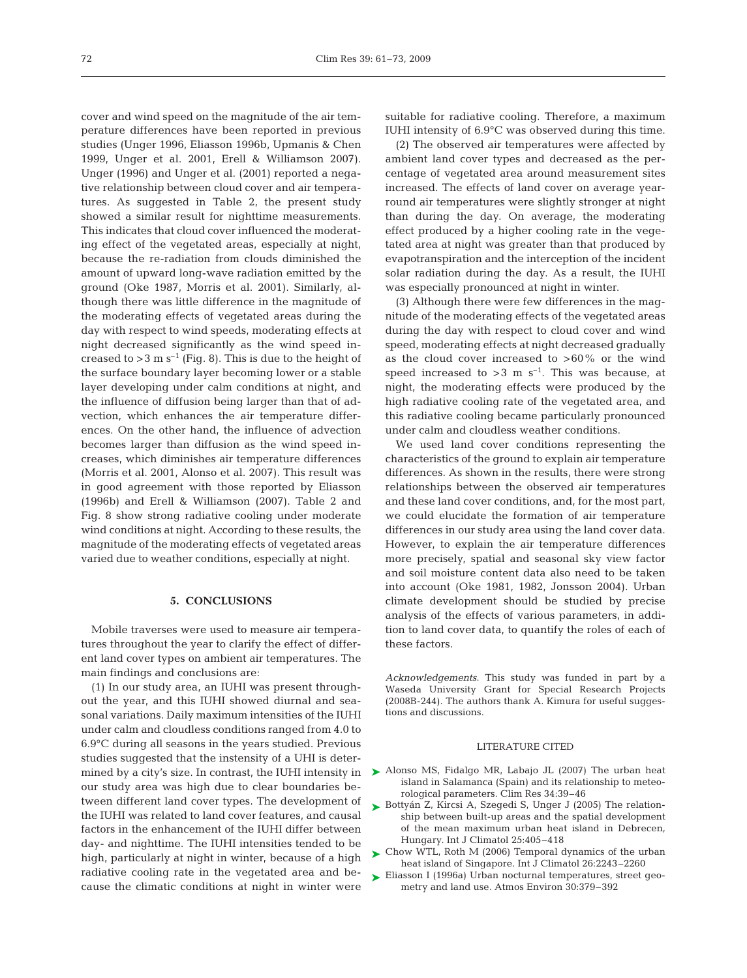cover and wind speed on the magnitude of the air temperature differences have been reported in previous studies (Unger 1996, Eliasson 1996b, Upmanis & Chen 1999, Unger et al. 2001, Erell & Williamson 2007). Unger (1996) and Unger et al. (2001) reported a negative relationship between cloud cover and air temperatures. As suggested in Table 2, the present study showed a similar result for nighttime measurements. This indicates that cloud cover influenced the moderating effect of the vegetated areas, especially at night, because the re-radiation from clouds diminished the amount of upward long-wave radiation emitted by the ground (Oke 1987, Morris et al. 2001). Similarly, although there was little difference in the magnitude of the moderating effects of vegetated areas during the day with respect to wind speeds, moderating effects at night decreased significantly as the wind speed increased to  $>$  3 m s<sup>-1</sup> (Fig. 8). This is due to the height of the surface boundary layer becoming lower or a stable layer developing under calm conditions at night, and the influence of diffusion being larger than that of advection, which enhances the air temperature differences. On the other hand, the influence of advection becomes larger than diffusion as the wind speed increases, which diminishes air temperature differences (Morris et al. 2001, Alonso et al. 2007). This result was in good agreement with those reported by Eliasson (1996b) and Erell & Williamson (2007). Table 2 and Fig. 8 show strong radiative cooling under moderate wind conditions at night. According to these results, the magnitude of the moderating effects of vegetated areas varied due to weather conditions, especially at night.

## **5. CONCLUSIONS**

Mobile traverses were used to measure air temperatures throughout the year to clarify the effect of different land cover types on ambient air temperatures. The main findings and conclusions are:

(1) In our study area, an IUHI was present throughout the year, and this IUHI showed diurnal and seasonal variations. Daily maximum intensities of the IUHI under calm and cloudless conditions ranged from 4.0 to 6.9°C during all seasons in the years studied. Previous studies suggested that the instensity of a UHI is determined by a city's size. In contrast, the IUHI intensity in our study area was high due to clear boundaries between different land cover types. The development of the IUHI was related to land cover features, and causal factors in the enhancement of the IUHI differ between day- and nighttime. The IUHI intensities tended to be high, particularly at night in winter, because of a high radiative cooling rate in the vegetated area and because the climatic conditions at night in winter were

suitable for radiative cooling. Therefore, a maximum IUHI intensity of 6.9°C was observed during this time.

(2) The observed air temperatures were affected by ambient land cover types and decreased as the percentage of vegetated area around measurement sites increased. The effects of land cover on average yearround air temperatures were slightly stronger at night than during the day. On average, the moderating effect produced by a higher cooling rate in the vegetated area at night was greater than that produced by evapotranspiration and the interception of the incident solar radiation during the day. As a result, the IUHI was especially pronounced at night in winter.

(3) Although there were few differences in the magnitude of the moderating effects of the vegetated areas during the day with respect to cloud cover and wind speed, moderating effects at night decreased gradually as the cloud cover increased to  $>60\%$  or the wind speed increased to  $>3$  m s<sup>-1</sup>. This was because, at night, the moderating effects were produced by the high radiative cooling rate of the vegetated area, and this radiative cooling became particularly pronounced under calm and cloudless weather conditions.

We used land cover conditions representing the characteristics of the ground to explain air temperature differences. As shown in the results, there were strong relationships between the observed air temperatures and these land cover conditions, and, for the most part, we could elucidate the formation of air temperature differences in our study area using the land cover data. However, to explain the air temperature differences more precisely, spatial and seasonal sky view factor and soil moisture content data also need to be taken into account (Oke 1981, 1982, Jonsson 2004). Urban climate development should be studied by precise analysis of the effects of various parameters, in addition to land cover data, to quantify the roles of each of these factors.

*Acknowledgements*. This study was funded in part by a Waseda University Grant for Special Research Projects (2008B-244). The authors thank A. Kimura for useful suggestions and discussions.

#### LITERATURE CITED

- ▶ Alonso MS, Fidalgo MR, Labajo JL (2007) The urban heat island in Salamanca (Spain) and its relationship to meteorological parameters. Clim Res 34:39–46
- ► Bottyán Z, Kircsi A, Szegedi S, Unger J (2005) The relationship between built-up areas and the spatial development of the mean maximum urban heat island in Debrecen, Hungary. Int J Climatol 25:405–418
- ► Chow WTL, Roth M (2006) Temporal dynamics of the urban heat island of Singapore. Int J Climatol 26:2243–2260
- ► Eliasson I (1996a) Urban nocturnal temperatures, street geometry and land use. Atmos Environ 30:379–392